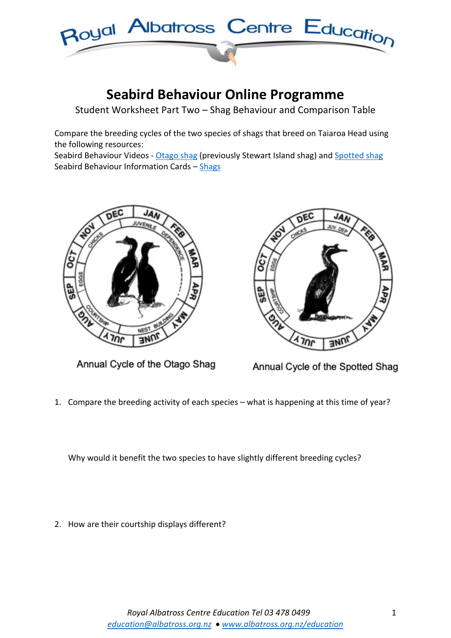

## **Seabird Behaviour Online Programme**

Student Worksheet Part Two – Shag Behaviour and Comparison Table

Compare the breeding cycles of the two species of shags that breed on Taiaroa Head using the following resources:

Seabird Behaviour Videos - Otago shag (previously Stewart Island shag) and Spotted shag Seabird Behaviour Information Cards – Shags



Annual Cycle of the Otago Shag



Annual Cycle of the Spotted Shag

1. Compare the breeding activity of each species – what is happening at this time of year?

Why would it benefit the two species to have slightly different breeding cycles?

2. How are their courtship displays different?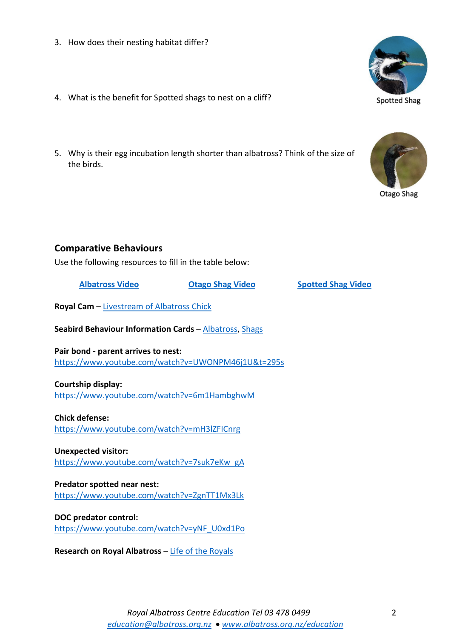- 3. How does their nesting habitat differ?
- 4. What is the benefit for Spotted shags to nest on a cliff?
- 5. Why is their egg incubation length shorter than albatross? Think of the size of the birds.



Use the following resources to fill in the table below:

**Albatross Video Otago Shag Video Spotted Shag Video**

**Royal Cam** – Livestream of Albatross Chick

**Seabird Behaviour Information Cards** – Albatross, Shags

**Pair bond - parent arrives to nest:** https://www.youtube.com/watch?v=UWONPM46j1U&t=295s

## **Courtship display:**

https://www.youtube.com/watch?v=6m1HambghwM

**Chick defense:** https://www.youtube.com/watch?v=mH3lZFICnrg

**Unexpected visitor:** https://www.youtube.com/watch?v=7suk7eKw\_gA

**Predator spotted near nest:** https://www.youtube.com/watch?v=ZgnTT1Mx3Lk

**DOC predator control:** https://www.youtube.com/watch?v=yNF\_U0xd1Po

**Research on Royal Albatross – Life of the Royals**